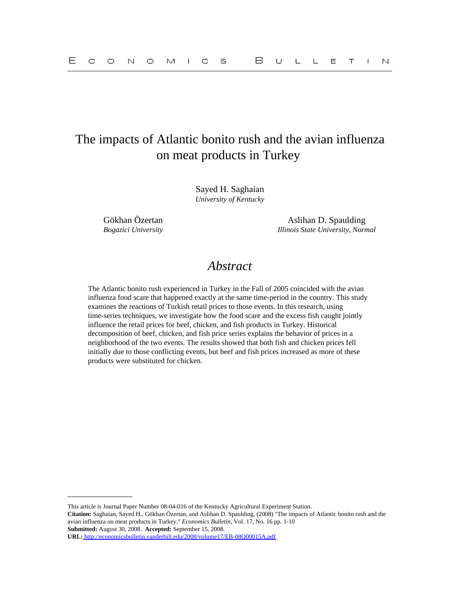# The impacts of Atlantic bonito rush and the avian influenza on meat products in Turkey

Sayed H. Saghaian *University of Kentucky*

Gökhan Özertan Aslihan D. Spaulding *Bogazici University Illinois State University, Normal*

# *Abstract*

The Atlantic bonito rush experienced in Turkey in the Fall of 2005 coincided with the avian influenza food scare that happened exactly at the same time-period in the country. This study examines the reactions of Turkish retail prices to those events. In this research, using time-series techniques, we investigate how the food scare and the excess fish caught jointly influence the retail prices for beef, chicken, and fish products in Turkey. Historical decomposition of beef, chicken, and fish price series explains the behavior of prices in a neighborhood of the two events. The results showed that both fish and chicken prices fell initially due to those conflicting events, but beef and fish prices increased as more of these products were substituted for chicken.

This article is Journal Paper Number 08-04-016 of the Kentucky Agricultural Experiment Station.

**Citation:** Saghaian, Sayed H., Gökhan Özertan, and Aslihan D. Spaulding, (2008) "The impacts of Atlantic bonito rush and the avian influenza on meat products in Turkey." *Economics Bulletin,* Vol. 17, No. 16 pp. 1-10 **Submitted:** August 30, 2008. **Accepted:** September 15, 2008.

**URL:**<http://economicsbulletin.vanderbilt.edu/2008/volume17/EB-08Q00015A.pdf>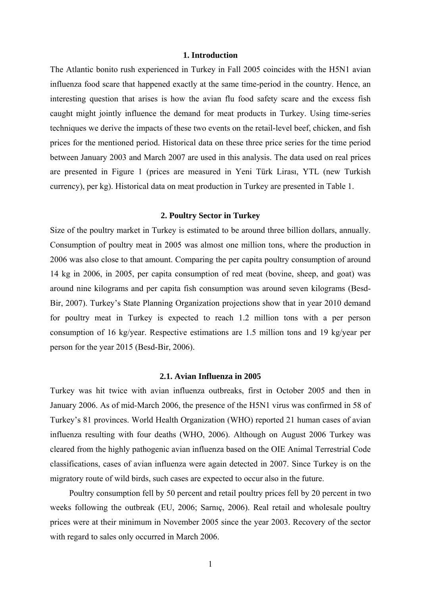### **1. Introduction**

The Atlantic bonito rush experienced in Turkey in Fall 2005 coincides with the H5N1 avian influenza food scare that happened exactly at the same time-period in the country. Hence, an interesting question that arises is how the avian flu food safety scare and the excess fish caught might jointly influence the demand for meat products in Turkey. Using time-series techniques we derive the impacts of these two events on the retail-level beef, chicken, and fish prices for the mentioned period. Historical data on these three price series for the time period between January 2003 and March 2007 are used in this analysis. The data used on real prices are presented in Figure 1 (prices are measured in Yeni Türk Lirası, YTL (new Turkish currency), per kg). Historical data on meat production in Turkey are presented in Table 1.

### **2. Poultry Sector in Turkey**

Size of the poultry market in Turkey is estimated to be around three billion dollars, annually. Consumption of poultry meat in 2005 was almost one million tons, where the production in 2006 was also close to that amount. Comparing the per capita poultry consumption of around 14 kg in 2006, in 2005, per capita consumption of red meat (bovine, sheep, and goat) was around nine kilograms and per capita fish consumption was around seven kilograms (Besd-Bir, 2007). Turkey's State Planning Organization projections show that in year 2010 demand for poultry meat in Turkey is expected to reach 1.2 million tons with a per person consumption of 16 kg/year. Respective estimations are 1.5 million tons and 19 kg/year per person for the year 2015 (Besd-Bir, 2006).

#### **2.1. Avian Influenza in 2005**

Turkey was hit twice with avian influenza outbreaks, first in October 2005 and then in January 2006. As of mid-March 2006, the presence of the H5N1 virus was confirmed in 58 of Turkey's 81 provinces. World Health Organization (WHO) reported 21 human cases of avian influenza resulting with four deaths (WHO, 2006). Although on August 2006 Turkey was cleared from the highly pathogenic avian influenza based on the OIE Animal Terrestrial Code classifications, cases of avian influenza were again detected in 2007. Since Turkey is on the migratory route of wild birds, such cases are expected to occur also in the future.

Poultry consumption fell by 50 percent and retail poultry prices fell by 20 percent in two weeks following the outbreak (EU, 2006; Sarnıç, 2006). Real retail and wholesale poultry prices were at their minimum in November 2005 since the year 2003. Recovery of the sector with regard to sales only occurred in March 2006.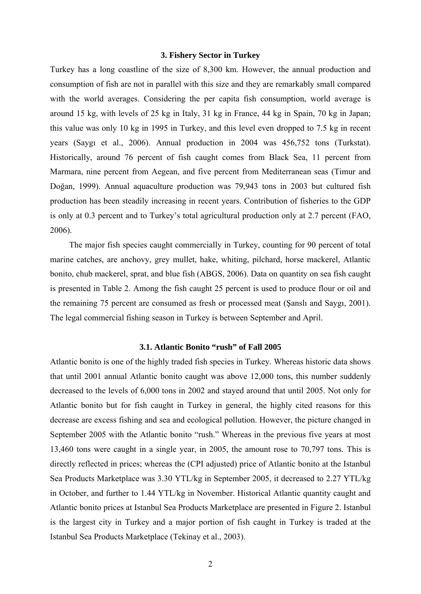## **3. Fishery Sector in Turkey**

Turkey has a long coastline of the size of 8,300 km. However, the annual production and consumption of fish are not in parallel with this size and they are remarkably small compared with the world averages. Considering the per capita fish consumption, world average is around 15 kg, with levels of 25 kg in Italy, 31 kg in France, 44 kg in Spain, 70 kg in Japan; this value was only 10 kg in 1995 in Turkey, and this level even dropped to 7.5 kg in recent years (Saygı et al., 2006). Annual production in 2004 was 456,752 tons (Turkstat). Historically, around 76 percent of fish caught comes from Black Sea, 11 percent from Marmara, nine percent from Aegean, and five percent from Mediterranean seas (Timur and Doğan, 1999). Annual aquaculture production was 79,943 tons in 2003 but cultured fish production has been steadily increasing in recent years. Contribution of fisheries to the GDP is only at 0.3 percent and to Turkey's total agricultural production only at 2.7 percent (FAO, 2006).

The major fish species caught commercially in Turkey, counting for 90 percent of total marine catches, are anchovy, grey mullet, hake, whiting, pilchard, horse mackerel, Atlantic bonito, chub mackerel, sprat, and blue fish (ABGS, 2006). Data on quantity on sea fish caught is presented in Table 2. Among the fish caught 25 percent is used to produce flour or oil and the remaining 75 percent are consumed as fresh or processed meat (Şanslı and Saygı, 2001). The legal commercial fishing season in Turkey is between September and April.

#### **3.1. Atlantic Bonito "rush" of Fall 2005**

Atlantic bonito is one of the highly traded fish species in Turkey. Whereas historic data shows that until 2001 annual Atlantic bonito caught was above 12,000 tons, this number suddenly decreased to the levels of 6,000 tons in 2002 and stayed around that until 2005. Not only for Atlantic bonito but for fish caught in Turkey in general, the highly cited reasons for this decrease are excess fishing and sea and ecological pollution. However, the picture changed in September 2005 with the Atlantic bonito "rush." Whereas in the previous five years at most 13,460 tons were caught in a single year, in 2005, the amount rose to 70,797 tons. This is directly reflected in prices; whereas the (CPI adjusted) price of Atlantic bonito at the Istanbul Sea Products Marketplace was 3.30 YTL/kg in September 2005, it decreased to 2.27 YTL/kg in October, and further to 1.44 YTL/kg in November. Historical Atlantic quantity caught and Atlantic bonito prices at Istanbul Sea Products Marketplace are presented in Figure 2. Istanbul is the largest city in Turkey and a major portion of fish caught in Turkey is traded at the Istanbul Sea Products Marketplace (Tekinay et al., 2003).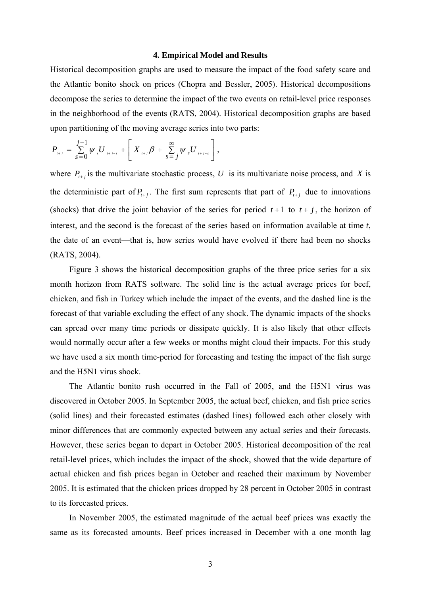### **4. Empirical Model and Results**

Historical decomposition graphs are used to measure the impact of the food safety scare and the Atlantic bonito shock on prices (Chopra and Bessler, 2005). Historical decompositions decompose the series to determine the impact of the two events on retail-level price responses in the neighborhood of the events (RATS, 2004). Historical decomposition graphs are based upon partitioning of the moving average series into two parts:

$$
P_{i+j} = \sum_{s=0}^{j-1} \psi_s U_{i+j-s} + \left[ X_{i+j} \beta + \sum_{s=j}^{\infty} \psi_s U_{i+j-s} \right],
$$

where  $P_{t+1}$  is the multivariate stochastic process, *U* is its multivariate noise process, and *X* is the deterministic part of  $P_{t+j}$ . The first sum represents that part of  $P_{t+j}$  due to innovations (shocks) that drive the joint behavior of the series for period  $t+1$  to  $t+j$ , the horizon of interest, and the second is the forecast of the series based on information available at time *t*, the date of an event—that is, how series would have evolved if there had been no shocks (RATS, 2004).

Figure 3 shows the historical decomposition graphs of the three price series for a six month horizon from RATS software. The solid line is the actual average prices for beef, chicken, and fish in Turkey which include the impact of the events, and the dashed line is the forecast of that variable excluding the effect of any shock. The dynamic impacts of the shocks can spread over many time periods or dissipate quickly. It is also likely that other effects would normally occur after a few weeks or months might cloud their impacts. For this study we have used a six month time-period for forecasting and testing the impact of the fish surge and the H5N1 virus shock.

The Atlantic bonito rush occurred in the Fall of 2005, and the H5N1 virus was discovered in October 2005. In September 2005, the actual beef, chicken, and fish price series (solid lines) and their forecasted estimates (dashed lines) followed each other closely with minor differences that are commonly expected between any actual series and their forecasts. However, these series began to depart in October 2005. Historical decomposition of the real retail-level prices, which includes the impact of the shock, showed that the wide departure of actual chicken and fish prices began in October and reached their maximum by November 2005. It is estimated that the chicken prices dropped by 28 percent in October 2005 in contrast to its forecasted prices.

In November 2005, the estimated magnitude of the actual beef prices was exactly the same as its forecasted amounts. Beef prices increased in December with a one month lag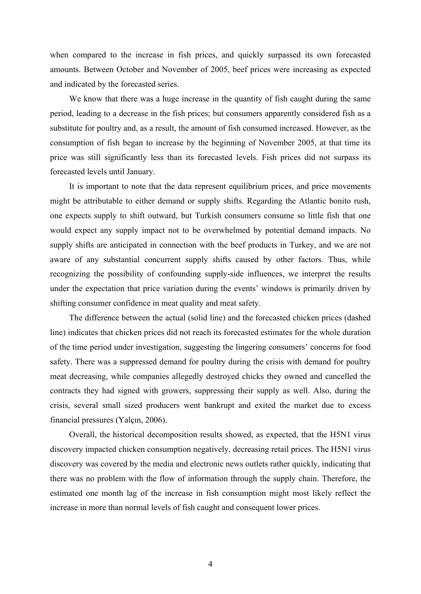when compared to the increase in fish prices, and quickly surpassed its own forecasted amounts. Between October and November of 2005, beef prices were increasing as expected and indicated by the forecasted series.

We know that there was a huge increase in the quantity of fish caught during the same period, leading to a decrease in the fish prices; but consumers apparently considered fish as a substitute for poultry and, as a result, the amount of fish consumed increased. However, as the consumption of fish began to increase by the beginning of November 2005, at that time its price was still significantly less than its forecasted levels. Fish prices did not surpass its forecasted levels until January.

It is important to note that the data represent equilibrium prices, and price movements might be attributable to either demand or supply shifts. Regarding the Atlantic bonito rush, one expects supply to shift outward, but Turkish consumers consume so little fish that one would expect any supply impact not to be overwhelmed by potential demand impacts. No supply shifts are anticipated in connection with the beef products in Turkey, and we are not aware of any substantial concurrent supply shifts caused by other factors. Thus, while recognizing the possibility of confounding supply-side influences, we interpret the results under the expectation that price variation during the events' windows is primarily driven by shifting consumer confidence in meat quality and meat safety.

The difference between the actual (solid line) and the forecasted chicken prices (dashed line) indicates that chicken prices did not reach its forecasted estimates for the whole duration of the time period under investigation, suggesting the lingering consumers' concerns for food safety. There was a suppressed demand for poultry during the crisis with demand for poultry meat decreasing, while companies allegedly destroyed chicks they owned and cancelled the contracts they had signed with growers, suppressing their supply as well. Also, during the crisis, several small sized producers went bankrupt and exited the market due to excess financial pressures (Yalçın, 2006).

Overall, the historical decomposition results showed, as expected, that the H5N1 virus discovery impacted chicken consumption negatively, decreasing retail prices. The H5N1 virus discovery was covered by the media and electronic news outlets rather quickly, indicating that there was no problem with the flow of information through the supply chain. Therefore, the estimated one month lag of the increase in fish consumption might most likely reflect the increase in more than normal levels of fish caught and consequent lower prices.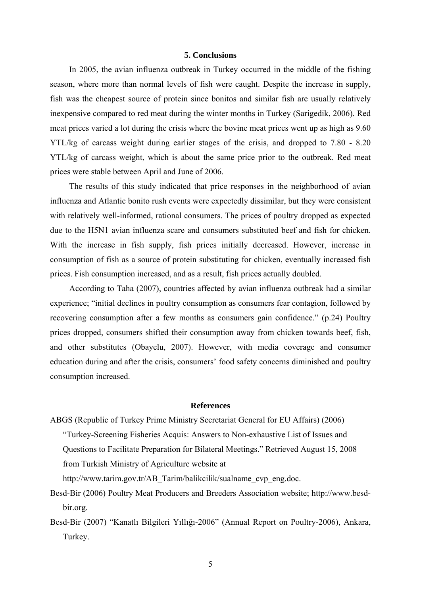# **5. Conclusions**

In 2005, the avian influenza outbreak in Turkey occurred in the middle of the fishing season, where more than normal levels of fish were caught. Despite the increase in supply, fish was the cheapest source of protein since bonitos and similar fish are usually relatively inexpensive compared to red meat during the winter months in Turkey (Sarigedik, 2006). Red meat prices varied a lot during the crisis where the bovine meat prices went up as high as 9.60 YTL/kg of carcass weight during earlier stages of the crisis, and dropped to 7.80 - 8.20 YTL/kg of carcass weight, which is about the same price prior to the outbreak. Red meat prices were stable between April and June of 2006.

The results of this study indicated that price responses in the neighborhood of avian influenza and Atlantic bonito rush events were expectedly dissimilar, but they were consistent with relatively well-informed, rational consumers. The prices of poultry dropped as expected due to the H5N1 avian influenza scare and consumers substituted beef and fish for chicken. With the increase in fish supply, fish prices initially decreased. However, increase in consumption of fish as a source of protein substituting for chicken, eventually increased fish prices. Fish consumption increased, and as a result, fish prices actually doubled.

According to Taha (2007), countries affected by avian influenza outbreak had a similar experience; "initial declines in poultry consumption as consumers fear contagion, followed by recovering consumption after a few months as consumers gain confidence." (p.24) Poultry prices dropped, consumers shifted their consumption away from chicken towards beef, fish, and other substitutes (Obayelu, 2007). However, with media coverage and consumer education during and after the crisis, consumers' food safety concerns diminished and poultry consumption increased.

#### **References**

- ABGS (Republic of Turkey Prime Ministry Secretariat General for EU Affairs) (2006)
	- "Turkey-Screening Fisheries Acquis: Answers to Non-exhaustive List of Issues and Questions to Facilitate Preparation for Bilateral Meetings." Retrieved August 15, 2008 from Turkish Ministry of Agriculture website at
	- http://www.tarim.gov.tr/AB\_Tarim/balikcilik/sualname\_cvp\_eng.doc.
- Besd-Bir (2006) Poultry Meat Producers and Breeders Association website; http://www.besdbir.org.
- Besd-Bir (2007) "Kanatlı Bilgileri Yıllığı-2006" (Annual Report on Poultry-2006), Ankara, Turkey.

5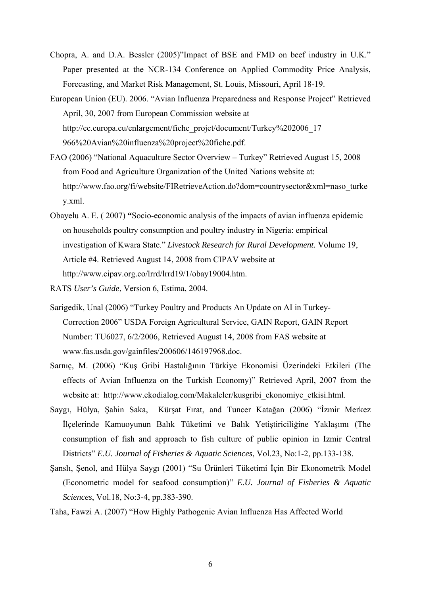- Chopra, A. and D.A. Bessler (2005)"Impact of BSE and FMD on beef industry in U.K." Paper presented at the NCR-134 Conference on Applied Commodity Price Analysis, Forecasting, and Market Risk Management, St. Louis, Missouri, April 18-19.
- European Union (EU). 2006. "Avian Influenza Preparedness and Response Project" Retrieved April, 30, 2007 from European Commission website at http://ec.europa.eu/enlargement/fiche\_projet/document/Turkey%202006\_17 966%20Avian%20influenza%20project%20fiche.pdf.
- FAO (2006) "National Aquaculture Sector Overview Turkey" Retrieved August 15, 2008 from Food and Agriculture Organization of the United Nations website at: http://www.fao.org/fi/website/FIRetrieveAction.do?dom=countrysector&xml=naso\_turke y.xml.
- Obayelu A. E. ( 2007) **"**Socio-economic analysis of the impacts of avian influenza epidemic on households poultry consumption and poultry industry in Nigeria: empirical investigation of Kwara State." *Livestock Research for Rural Development.* Volume 19, Article #4. Retrieved August 14, 2008 from CIPAV website at http://www.cipav.org.co/lrrd/lrrd19/1/obay19004.htm.
- RATS *User's Guide*, Version 6, Estima, 2004.
- Sarigedik, Unal (2006) "Turkey Poultry and Products An Update on AI in Turkey-Correction 2006" USDA Foreign Agricultural Service, GAIN Report, GAIN Report Number: TU6027, 6/2/2006, Retrieved August 14, 2008 from FAS website at www.fas.usda.gov/gainfiles/200606/146197968.doc.
- Sarnıç, M. (2006) "Kuş Gribi Hastalığının Türkiye Ekonomisi Üzerindeki Etkileri (The effects of Avian Influenza on the Turkish Economy)" Retrieved April, 2007 from the website at: http://www.ekodialog.com/Makaleler/kusgribi ekonomiye etkisi.html.
- Saygı, Hülya, Şahin Saka, Kürşat Fırat, and Tuncer Katağan (2006) "İzmir Merkez İlçelerinde Kamuoyunun Balık Tüketimi ve Balık Yetiştiriciliğine Yaklaşımı (The consumption of fish and approach to fish culture of public opinion in Izmir Central Districts" *E.U. Journal of Fisheries & Aquatic Sciences*, Vol.23, No:1-2, pp.133-138.
- Şanslı, Şenol, and Hülya Saygı (2001) "Su Ürünleri Tüketimi İçin Bir Ekonometrik Model (Econometric model for seafood consumption)" *E.U. Journal of Fisheries & Aquatic Sciences*, Vol.18, No:3-4, pp.383-390.

Taha, Fawzi A. (2007) "How Highly Pathogenic Avian Influenza Has Affected World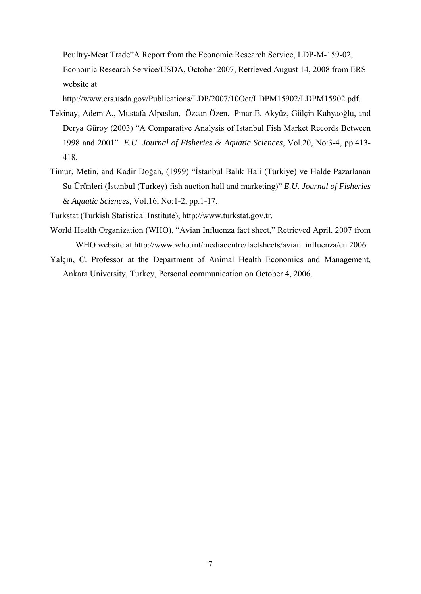Poultry-Meat Trade"A Report from the Economic Research Service, LDP-M-159-02, Economic Research Service/USDA, October 2007, Retrieved August 14, 2008 from ERS website at

http://www.ers.usda.gov/Publications/LDP/2007/10Oct/LDPM15902/LDPM15902.pdf.

- Tekinay, Adem A., Mustafa Alpaslan, Özcan Özen, Pınar E. Akyüz, Gülçin Kahyaoğlu, and Derya Güroy (2003) "A Comparative Analysis of Istanbul Fish Market Records Between 1998 and 2001" *E.U. Journal of Fisheries & Aquatic Sciences*, Vol.20, No:3-4, pp.413- 418.
- Timur, Metin, and Kadir Doğan, (1999) "İstanbul Balık Hali (Türkiye) ve Halde Pazarlanan Su Ürünleri (İstanbul (Turkey) fish auction hall and marketing)" *E.U. Journal of Fisheries & Aquatic Sciences*, Vol.16, No:1-2, pp.1-17.

Turkstat (Turkish Statistical Institute), http://www.turkstat.gov.tr.

- World Health Organization (WHO), "Avian Influenza fact sheet," Retrieved April, 2007 from WHO website at http://www.who.int/mediacentre/factsheets/avian\_influenza/en 2006.
- Yalçın, C. Professor at the Department of Animal Health Economics and Management, Ankara University, Turkey, Personal communication on October 4, 2006.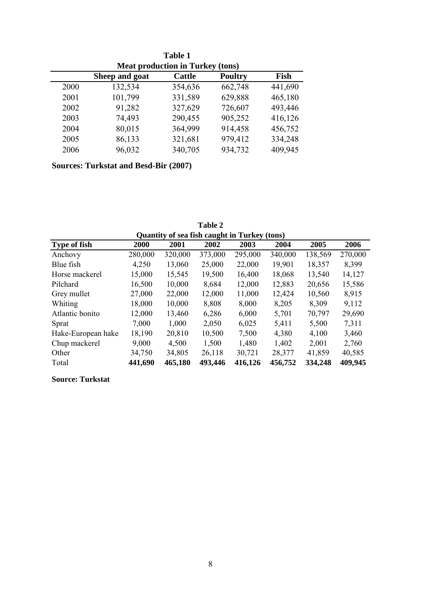| <b>Meat production in Turkey (tons)</b> |                |               |                |         |  |  |  |  |  |
|-----------------------------------------|----------------|---------------|----------------|---------|--|--|--|--|--|
|                                         | Sheep and goat | <b>Cattle</b> | <b>Poultry</b> | Fish    |  |  |  |  |  |
| 2000                                    | 132,534        | 354,636       | 662,748        | 441,690 |  |  |  |  |  |
| 2001                                    | 101,799        | 331,589       | 629,888        | 465,180 |  |  |  |  |  |
| 2002                                    | 91,282         | 327,629       | 726,607        | 493,446 |  |  |  |  |  |
| 2003                                    | 74,493         | 290,455       | 905,252        | 416,126 |  |  |  |  |  |
| 2004                                    | 80,015         | 364,999       | 914,458        | 456,752 |  |  |  |  |  |
| 2005                                    | 86,133         | 321,681       | 979,412        | 334,248 |  |  |  |  |  |
| 2006                                    | 96,032         | 340,705       | 934,732        | 409,945 |  |  |  |  |  |

**Table 1**

**Sources: Turkstat and Besd-Bir (2007)**

| <b>Quantity of sea fish caught in Turkey (tons)</b> |         |         |         |         |         |         |         |  |  |  |
|-----------------------------------------------------|---------|---------|---------|---------|---------|---------|---------|--|--|--|
| <b>Type of fish</b>                                 | 2000    | 2001    | 2002    | 2003    | 2004    | 2005    | 2006    |  |  |  |
| Anchovy                                             | 280,000 | 320,000 | 373,000 | 295,000 | 340,000 | 138,569 | 270,000 |  |  |  |
| Blue fish                                           | 4,250   | 13,060  | 25,000  | 22,000  | 19,901  | 18,357  | 8,399   |  |  |  |
| Horse mackerel                                      | 15,000  | 15,545  | 19,500  | 16,400  | 18,068  | 13,540  | 14,127  |  |  |  |
| Pilchard                                            | 16,500  | 10,000  | 8,684   | 12,000  | 12,883  | 20,656  | 15,586  |  |  |  |
| Grey mullet                                         | 27,000  | 22,000  | 12,000  | 11,000  | 12,424  | 10,560  | 8,915   |  |  |  |
| <b>Whiting</b>                                      | 18,000  | 10,000  | 8,808   | 8,000   | 8,205   | 8,309   | 9,112   |  |  |  |
| Atlantic bonito                                     | 12,000  | 13,460  | 6,286   | 6,000   | 5,701   | 70,797  | 29,690  |  |  |  |
| Sprat                                               | 7,000   | 1,000   | 2,050   | 6,025   | 5,411   | 5,500   | 7,311   |  |  |  |
| Hake-European hake                                  | 18,190  | 20,810  | 10,500  | 7,500   | 4,380   | 4,100   | 3,460   |  |  |  |
| Chup mackerel                                       | 9,000   | 4,500   | 1,500   | 1,480   | 1,402   | 2,001   | 2,760   |  |  |  |
| Other                                               | 34,750  | 34,805  | 26,118  | 30,721  | 28,377  | 41,859  | 40,585  |  |  |  |
| Total                                               | 441,690 | 465,180 | 493,446 | 416,126 | 456,752 | 334,248 | 409,945 |  |  |  |

**Table 2**

**Source: Turkstat**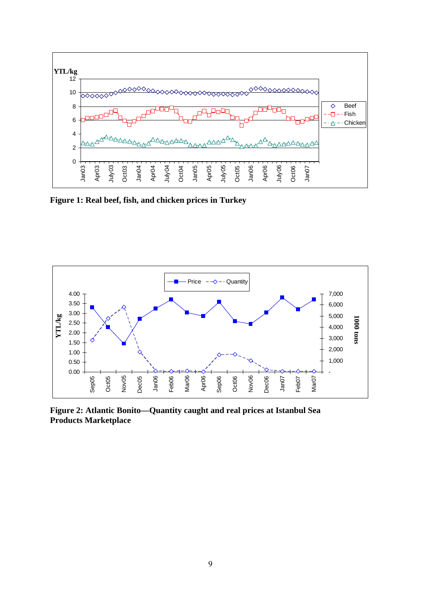

**Figure 1: Real beef, fish, and chicken prices in Turkey** 



**Figure 2: Atlantic Bonito—Quantity caught and real prices at Istanbul Sea Products Marketplace**